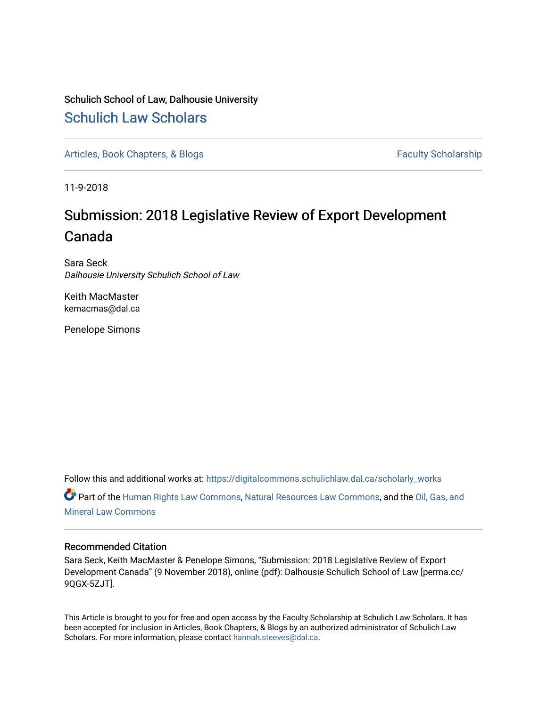### Schulich School of Law, Dalhousie University [Schulich Law Scholars](https://digitalcommons.schulichlaw.dal.ca/)

[Articles, Book Chapters, & Blogs](https://digitalcommons.schulichlaw.dal.ca/scholarly_works) Faculty Scholarship

11-9-2018

## Submission: 2018 Legislative Review of Export Development Canada

Sara Seck Dalhousie University Schulich School of Law

Keith MacMaster kemacmas@dal.ca

Penelope Simons

Follow this and additional works at: [https://digitalcommons.schulichlaw.dal.ca/scholarly\\_works](https://digitalcommons.schulichlaw.dal.ca/scholarly_works?utm_source=digitalcommons.schulichlaw.dal.ca%2Fscholarly_works%2F174&utm_medium=PDF&utm_campaign=PDFCoverPages)  Part of the [Human Rights Law Commons,](http://network.bepress.com/hgg/discipline/847?utm_source=digitalcommons.schulichlaw.dal.ca%2Fscholarly_works%2F174&utm_medium=PDF&utm_campaign=PDFCoverPages) [Natural Resources Law Commons](http://network.bepress.com/hgg/discipline/863?utm_source=digitalcommons.schulichlaw.dal.ca%2Fscholarly_works%2F174&utm_medium=PDF&utm_campaign=PDFCoverPages), and the [Oil, Gas, and](http://network.bepress.com/hgg/discipline/864?utm_source=digitalcommons.schulichlaw.dal.ca%2Fscholarly_works%2F174&utm_medium=PDF&utm_campaign=PDFCoverPages)  [Mineral Law Commons](http://network.bepress.com/hgg/discipline/864?utm_source=digitalcommons.schulichlaw.dal.ca%2Fscholarly_works%2F174&utm_medium=PDF&utm_campaign=PDFCoverPages)

#### Recommended Citation

Sara Seck, Keith MacMaster & Penelope Simons, "Submission: 2018 Legislative Review of Export Development Canada" (9 November 2018), online (pdf): Dalhousie Schulich School of Law [perma.cc/ 9QGX-5ZJT].

This Article is brought to you for free and open access by the Faculty Scholarship at Schulich Law Scholars. It has been accepted for inclusion in Articles, Book Chapters, & Blogs by an authorized administrator of Schulich Law Scholars. For more information, please contact [hannah.steeves@dal.ca](mailto:hannah.steeves@dal.ca).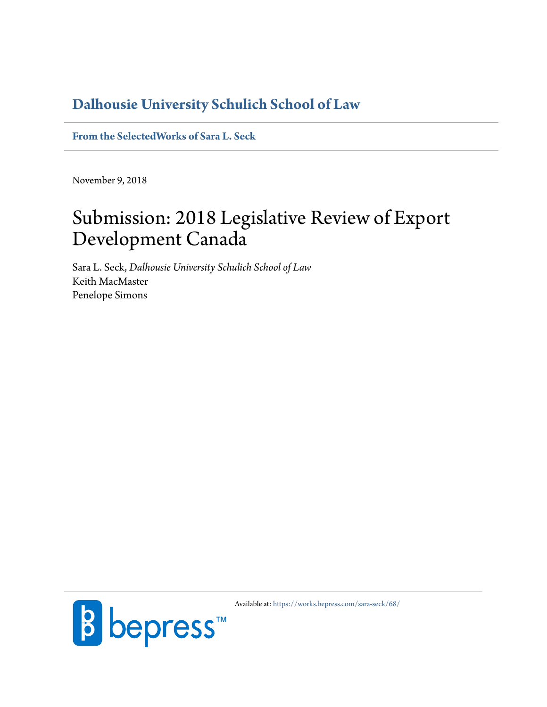### **[Dalhousie University Schulich School of Law](https://www.dal.ca/faculty/law.html)**

**[From the SelectedWorks of Sara L. Seck](https://works.bepress.com/sara-seck/)**

November 9, 2018

# Submission: 2018 Legislative Review of Export Development Canada

Sara L. Seck, *Dalhousie University Schulich School of Law* Keith MacMaster Penelope Simons



Available at: <https://works.bepress.com/sara-seck/68/>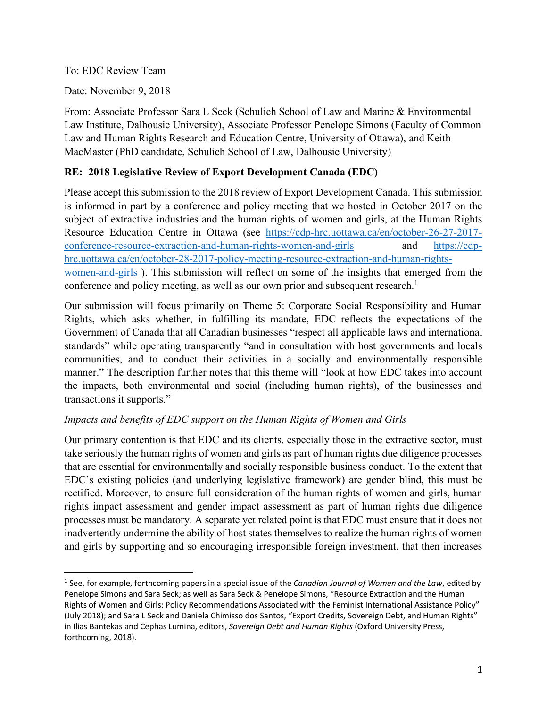To: EDC Review Team

Date: November 9, 2018

From: Associate Professor Sara L Seck (Schulich School of Law and Marine & Environmental Law Institute, Dalhousie University), Associate Professor Penelope Simons (Faculty of Common Law and Human Rights Research and Education Centre, University of Ottawa), and Keith MacMaster (PhD candidate, Schulich School of Law, Dalhousie University)

#### **RE: 2018 Legislative Review of Export Development Canada (EDC)**

Please accept this submission to the 2018 review of Export Development Canada. This submission is informed in part by a conference and policy meeting that we hosted in October 2017 on the subject of extractive industries and the human rights of women and girls, at the Human Rights Resource Education Centre in Ottawa (see https://cdp-hrc.uottawa.ca/en/october-26-27-2017 conference-resource-extraction-and-human-rights-women-and-girls and https://cdphrc.uottawa.ca/en/october-28-2017-policy-meeting-resource-extraction-and-human-rightswomen-and-girls ). This submission will reflect on some of the insights that emerged from the conference and policy meeting, as well as our own prior and subsequent research.<sup>1</sup>

Our submission will focus primarily on Theme 5: Corporate Social Responsibility and Human Rights, which asks whether, in fulfilling its mandate, EDC reflects the expectations of the Government of Canada that all Canadian businesses "respect all applicable laws and international standards" while operating transparently "and in consultation with host governments and locals communities, and to conduct their activities in a socially and environmentally responsible manner." The description further notes that this theme will "look at how EDC takes into account the impacts, both environmental and social (including human rights), of the businesses and transactions it supports."

#### *Impacts and benefits of EDC support on the Human Rights of Women and Girls*

Our primary contention is that EDC and its clients, especially those in the extractive sector, must take seriously the human rights of women and girls as part of human rights due diligence processes that are essential for environmentally and socially responsible business conduct. To the extent that EDC's existing policies (and underlying legislative framework) are gender blind, this must be rectified. Moreover, to ensure full consideration of the human rights of women and girls, human rights impact assessment and gender impact assessment as part of human rights due diligence processes must be mandatory. A separate yet related point is that EDC must ensure that it does not inadvertently undermine the ability of host states themselves to realize the human rights of women and girls by supporting and so encouraging irresponsible foreign investment, that then increases

 <sup>1</sup> See, for example, forthcoming papers in a special issue of the *Canadian Journal of Women and the Law*, edited by Penelope Simons and Sara Seck; as well as Sara Seck & Penelope Simons, "Resource Extraction and the Human Rights of Women and Girls: Policy Recommendations Associated with the Feminist International Assistance Policy" (July 2018); and Sara L Seck and Daniela Chimisso dos Santos, "Export Credits, Sovereign Debt, and Human Rights" in Ilias Bantekas and Cephas Lumina, editors, *Sovereign Debt and Human Rights* (Oxford University Press, forthcoming, 2018).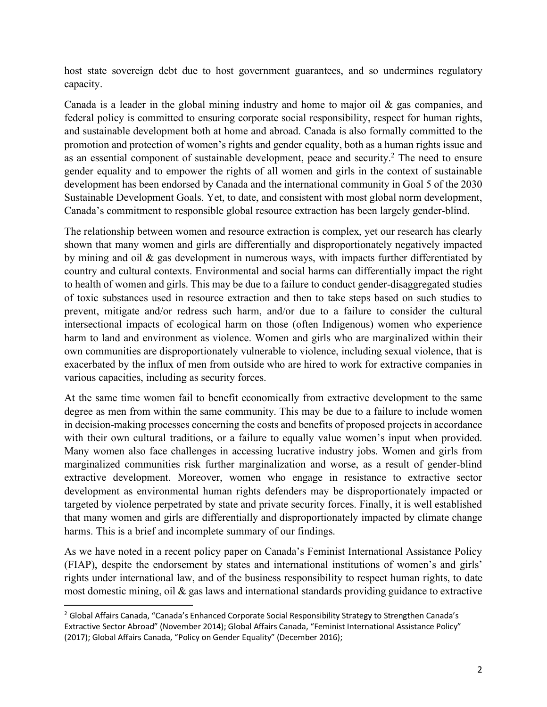host state sovereign debt due to host government guarantees, and so undermines regulatory capacity.

Canada is a leader in the global mining industry and home to major oil  $\&$  gas companies, and federal policy is committed to ensuring corporate social responsibility, respect for human rights, and sustainable development both at home and abroad. Canada is also formally committed to the promotion and protection of women's rights and gender equality, both as a human rights issue and as an essential component of sustainable development, peace and security.2 The need to ensure gender equality and to empower the rights of all women and girls in the context of sustainable development has been endorsed by Canada and the international community in Goal 5 of the 2030 Sustainable Development Goals. Yet, to date, and consistent with most global norm development, Canada's commitment to responsible global resource extraction has been largely gender-blind.

The relationship between women and resource extraction is complex, yet our research has clearly shown that many women and girls are differentially and disproportionately negatively impacted by mining and oil & gas development in numerous ways, with impacts further differentiated by country and cultural contexts. Environmental and social harms can differentially impact the right to health of women and girls. This may be due to a failure to conduct gender-disaggregated studies of toxic substances used in resource extraction and then to take steps based on such studies to prevent, mitigate and/or redress such harm, and/or due to a failure to consider the cultural intersectional impacts of ecological harm on those (often Indigenous) women who experience harm to land and environment as violence. Women and girls who are marginalized within their own communities are disproportionately vulnerable to violence, including sexual violence, that is exacerbated by the influx of men from outside who are hired to work for extractive companies in various capacities, including as security forces.

At the same time women fail to benefit economically from extractive development to the same degree as men from within the same community. This may be due to a failure to include women in decision-making processes concerning the costs and benefits of proposed projects in accordance with their own cultural traditions, or a failure to equally value women's input when provided. Many women also face challenges in accessing lucrative industry jobs. Women and girls from marginalized communities risk further marginalization and worse, as a result of gender-blind extractive development. Moreover, women who engage in resistance to extractive sector development as environmental human rights defenders may be disproportionately impacted or targeted by violence perpetrated by state and private security forces. Finally, it is well established that many women and girls are differentially and disproportionately impacted by climate change harms. This is a brief and incomplete summary of our findings.

As we have noted in a recent policy paper on Canada's Feminist International Assistance Policy (FIAP), despite the endorsement by states and international institutions of women's and girls' rights under international law, and of the business responsibility to respect human rights, to date most domestic mining, oil  $\&$  gas laws and international standards providing guidance to extractive

<sup>&</sup>lt;sup>2</sup> Global Affairs Canada, "Canada's Enhanced Corporate Social Responsibility Strategy to Strengthen Canada's Extractive Sector Abroad" (November 2014); Global Affairs Canada, "Feminist International Assistance Policy" (2017); Global Affairs Canada, "Policy on Gender Equality" (December 2016);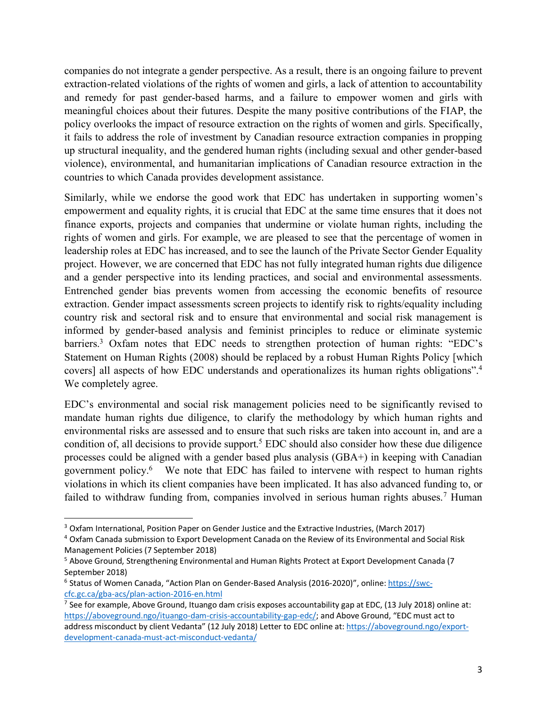companies do not integrate a gender perspective. As a result, there is an ongoing failure to prevent extraction-related violations of the rights of women and girls, a lack of attention to accountability and remedy for past gender-based harms, and a failure to empower women and girls with meaningful choices about their futures. Despite the many positive contributions of the FIAP, the policy overlooks the impact of resource extraction on the rights of women and girls. Specifically, it fails to address the role of investment by Canadian resource extraction companies in propping up structural inequality, and the gendered human rights (including sexual and other gender-based violence), environmental, and humanitarian implications of Canadian resource extraction in the countries to which Canada provides development assistance.

Similarly, while we endorse the good work that EDC has undertaken in supporting women's empowerment and equality rights, it is crucial that EDC at the same time ensures that it does not finance exports, projects and companies that undermine or violate human rights, including the rights of women and girls. For example, we are pleased to see that the percentage of women in leadership roles at EDC has increased, and to see the launch of the Private Sector Gender Equality project. However, we are concerned that EDC has not fully integrated human rights due diligence and a gender perspective into its lending practices, and social and environmental assessments. Entrenched gender bias prevents women from accessing the economic benefits of resource extraction. Gender impact assessments screen projects to identify risk to rights/equality including country risk and sectoral risk and to ensure that environmental and social risk management is informed by gender-based analysis and feminist principles to reduce or eliminate systemic barriers.<sup>3</sup> Oxfam notes that EDC needs to strengthen protection of human rights: "EDC's Statement on Human Rights (2008) should be replaced by a robust Human Rights Policy [which covers] all aspects of how EDC understands and operationalizes its human rights obligations". 4 We completely agree.

EDC's environmental and social risk management policies need to be significantly revised to mandate human rights due diligence, to clarify the methodology by which human rights and environmental risks are assessed and to ensure that such risks are taken into account in, and are a condition of, all decisions to provide support.<sup>5</sup> EDC should also consider how these due diligence processes could be aligned with a gender based plus analysis (GBA+) in keeping with Canadian government policy. 6 We note that EDC has failed to intervene with respect to human rights violations in which its client companies have been implicated. It has also advanced funding to, or failed to withdraw funding from, companies involved in serious human rights abuses.<sup>7</sup> Human

 <sup>3</sup> Oxfam International, Position Paper on Gender Justice and the Extractive Industries, (March 2017)

<sup>4</sup> Oxfam Canada submission to Export Development Canada on the Review of its Environmental and Social Risk Management Policies (7 September 2018)

<sup>5</sup> Above Ground, Strengthening Environmental and Human Rights Protect at Export Development Canada (7 September 2018)

<sup>6</sup> Status of Women Canada, "Action Plan on Gender-Based Analysis (2016-2020)", online: https://swccfc.gc.ca/gba-acs/plan-action-2016-en.html

<sup>&</sup>lt;sup>7</sup> See for example, Above Ground, Ituango dam crisis exposes accountability gap at EDC, (13 July 2018) online at: https://aboveground.ngo/ituango-dam-crisis-accountability-gap-edc/; and Above Ground, "EDC must act to address misconduct by client Vedanta" (12 July 2018) Letter to EDC online at: https://aboveground.ngo/exportdevelopment-canada-must-act-misconduct-vedanta/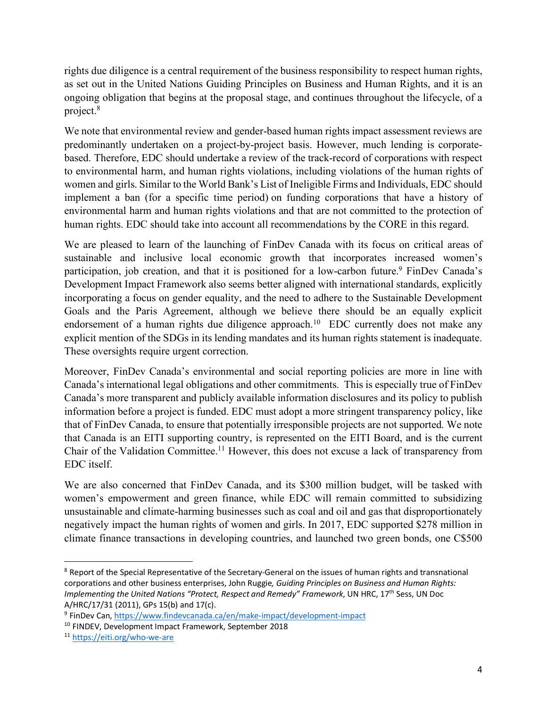rights due diligence is a central requirement of the business responsibility to respect human rights, as set out in the United Nations Guiding Principles on Business and Human Rights, and it is an ongoing obligation that begins at the proposal stage, and continues throughout the lifecycle, of a project.8

We note that environmental review and gender-based human rights impact assessment reviews are predominantly undertaken on a project-by-project basis. However, much lending is corporatebased. Therefore, EDC should undertake a review of the track-record of corporations with respect to environmental harm, and human rights violations, including violations of the human rights of women and girls. Similar to the World Bank's List of Ineligible Firms and Individuals, EDC should implement a ban (for a specific time period) on funding corporations that have a history of environmental harm and human rights violations and that are not committed to the protection of human rights. EDC should take into account all recommendations by the CORE in this regard.

We are pleased to learn of the launching of FinDev Canada with its focus on critical areas of sustainable and inclusive local economic growth that incorporates increased women's participation, job creation, and that it is positioned for a low-carbon future.<sup>9</sup> FinDev Canada's Development Impact Framework also seems better aligned with international standards, explicitly incorporating a focus on gender equality, and the need to adhere to the Sustainable Development Goals and the Paris Agreement, although we believe there should be an equally explicit endorsement of a human rights due diligence approach.<sup>10</sup> EDC currently does not make any explicit mention of the SDGs in its lending mandates and its human rights statement is inadequate. These oversights require urgent correction.

Moreover, FinDev Canada's environmental and social reporting policies are more in line with Canada's international legal obligations and other commitments. This is especially true of FinDev Canada's more transparent and publicly available information disclosures and its policy to publish information before a project is funded. EDC must adopt a more stringent transparency policy, like that of FinDev Canada, to ensure that potentially irresponsible projects are not supported. We note that Canada is an EITI supporting country, is represented on the EITI Board, and is the current Chair of the Validation Committee.11 However, this does not excuse a lack of transparency from EDC itself.

We are also concerned that FinDev Canada, and its \$300 million budget, will be tasked with women's empowerment and green finance, while EDC will remain committed to subsidizing unsustainable and climate-harming businesses such as coal and oil and gas that disproportionately negatively impact the human rights of women and girls. In 2017, EDC supported \$278 million in climate finance transactions in developing countries, and launched two green bonds, one C\$500

<sup>&</sup>lt;sup>8</sup> Report of the Special Representative of the Secretary-General on the issues of human rights and transnational corporations and other business enterprises, John Ruggie*, Guiding Principles on Business and Human Rights: Implementing the United Nations "Protect, Respect and Remedy" Framework*, UN HRC, 17<sup>th</sup> Sess, UN Doc A/HRC/17/31 (2011), GPs 15(b) and 17(c).

<sup>9</sup> FinDev Can, https://www.findevcanada.ca/en/make-impact/development-impact

<sup>10</sup> FINDEV, Development Impact Framework, September 2018

<sup>11</sup> https://eiti.org/who-we-are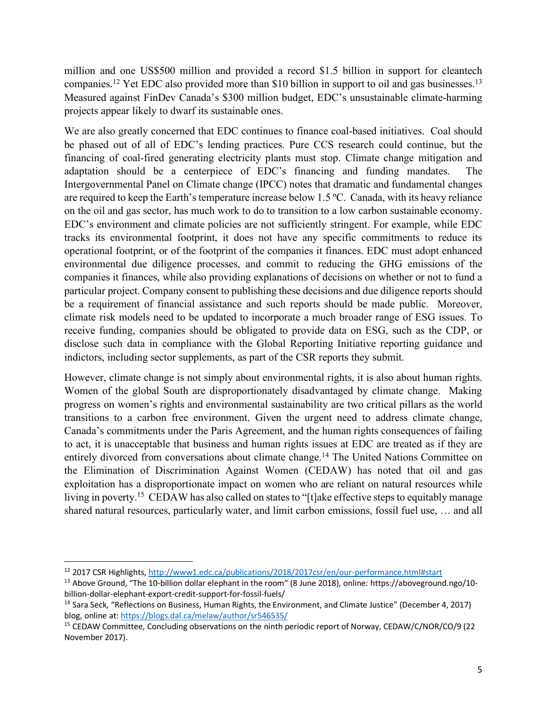million and one US\$500 million and provided a record \$1.5 billion in support for cleantech companies.12 Yet EDC also provided more than \$10 billion in support to oil and gas businesses.13 Measured against FinDev Canada's \$300 million budget, EDC's unsustainable climate-harming projects appear likely to dwarf its sustainable ones.

We are also greatly concerned that EDC continues to finance coal-based initiatives. Coal should be phased out of all of EDC's lending practices. Pure CCS research could continue, but the financing of coal-fired generating electricity plants must stop. Climate change mitigation and adaptation should be a centerpiece of EDC's financing and funding mandates. The Intergovernmental Panel on Climate change (IPCC) notes that dramatic and fundamental changes are required to keep the Earth's temperature increase below 1.5 ºC. Canada, with its heavy reliance on the oil and gas sector, has much work to do to transition to a low carbon sustainable economy. EDC's environment and climate policies are not sufficiently stringent. For example, while EDC tracks its environmental footprint, it does not have any specific commitments to reduce its operational footprint, or of the footprint of the companies it finances. EDC must adopt enhanced environmental due diligence processes, and commit to reducing the GHG emissions of the companies it finances, while also providing explanations of decisions on whether or not to fund a particular project. Company consent to publishing these decisions and due diligence reports should be a requirement of financial assistance and such reports should be made public. Moreover, climate risk models need to be updated to incorporate a much broader range of ESG issues. To receive funding, companies should be obligated to provide data on ESG, such as the CDP, or disclose such data in compliance with the Global Reporting Initiative reporting guidance and indictors, including sector supplements, as part of the CSR reports they submit.

However, climate change is not simply about environmental rights, it is also about human rights. Women of the global South are disproportionately disadvantaged by climate change. Making progress on women's rights and environmental sustainability are two critical pillars as the world transitions to a carbon free environment. Given the urgent need to address climate change, Canada's commitments under the Paris Agreement, and the human rights consequences of failing to act, it is unacceptable that business and human rights issues at EDC are treated as if they are entirely divorced from conversations about climate change.<sup>14</sup> The United Nations Committee on the Elimination of Discrimination Against Women (CEDAW) has noted that oil and gas exploitation has a disproportionate impact on women who are reliant on natural resources while living in poverty.<sup>15</sup> CEDAW has also called on states to "[t]ake effective steps to equitably manage shared natural resources, particularly water, and limit carbon emissions, fossil fuel use, … and all

 <sup>12</sup> 2017 CSR Highlights, http://www1.edc.ca/publications/2018/2017csr/en/our-performance.html#start

<sup>&</sup>lt;sup>13</sup> Above Ground, "The 10-billion dollar elephant in the room" (8 June 2018), online: https://aboveground.ngo/10billion-dollar-elephant-export-credit-support-for-fossil-fuels/

<sup>&</sup>lt;sup>14</sup> Sara Seck, "Reflections on Business, Human Rights, the Environment, and Climate Justice" (December 4, 2017) blog, online at: https://blogs.dal.ca/melaw/author/sr546535/

<sup>15</sup> CEDAW Committee, Concluding observations on the ninth periodic report of Norway, CEDAW/C/NOR/CO/9 (22 November 2017).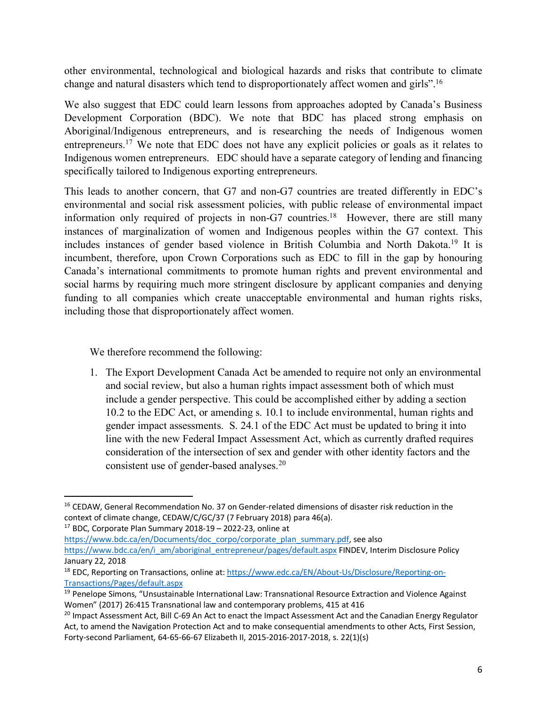other environmental, technological and biological hazards and risks that contribute to climate change and natural disasters which tend to disproportionately affect women and girls".<sup>16</sup>

We also suggest that EDC could learn lessons from approaches adopted by Canada's Business Development Corporation (BDC). We note that BDC has placed strong emphasis on Aboriginal/Indigenous entrepreneurs, and is researching the needs of Indigenous women entrepreneurs.17 We note that EDC does not have any explicit policies or goals as it relates to Indigenous women entrepreneurs. EDC should have a separate category of lending and financing specifically tailored to Indigenous exporting entrepreneurs.

This leads to another concern, that G7 and non-G7 countries are treated differently in EDC's environmental and social risk assessment policies, with public release of environmental impact information only required of projects in non-G7 countries. 18 However, there are still many instances of marginalization of women and Indigenous peoples within the G7 context. This includes instances of gender based violence in British Columbia and North Dakota.19 It is incumbent, therefore, upon Crown Corporations such as EDC to fill in the gap by honouring Canada's international commitments to promote human rights and prevent environmental and social harms by requiring much more stringent disclosure by applicant companies and denying funding to all companies which create unacceptable environmental and human rights risks, including those that disproportionately affect women.

We therefore recommend the following:

1. The Export Development Canada Act be amended to require not only an environmental and social review, but also a human rights impact assessment both of which must include a gender perspective. This could be accomplished either by adding a section 10.2 to the EDC Act, or amending s. 10.1 to include environmental, human rights and gender impact assessments. S. 24.1 of the EDC Act must be updated to bring it into line with the new Federal Impact Assessment Act, which as currently drafted requires consideration of the intersection of sex and gender with other identity factors and the consistent use of gender-based analyses. 20

 $17$  BDC, Corporate Plan Summary 2018-19 - 2022-23, online at

https://www.bdc.ca/en/Documents/doc\_corpo/corporate\_plan\_summary.pdf, see also https://www.bdc.ca/en/i\_am/aboriginal\_entrepreneur/pages/default.aspx FINDEV, Interim Disclosure Policy January 22, 2018

<sup>&</sup>lt;sup>16</sup> CEDAW, General Recommendation No. 37 on Gender-related dimensions of disaster risk reduction in the context of climate change, CEDAW/C/GC/37 (7 February 2018) para 46(a).

<sup>&</sup>lt;sup>18</sup> EDC, Reporting on Transactions, online at: https://www.edc.ca/EN/About-Us/Disclosure/Reporting-on-Transactions/Pages/default.aspx

<sup>&</sup>lt;sup>19</sup> Penelope Simons, "Unsustainable International Law: Transnational Resource Extraction and Violence Against Women" (2017) 26:415 Transnational law and contemporary problems, 415 at 416

<sup>&</sup>lt;sup>20</sup> Impact Assessment Act, Bill C-69 An Act to enact the Impact Assessment Act and the Canadian Energy Regulator Act, to amend the Navigation Protection Act and to make consequential amendments to other Acts, First Session, Forty-second Parliament, 64-65-66-67 Elizabeth II, 2015-2016-2017-2018, s. 22(1)(s)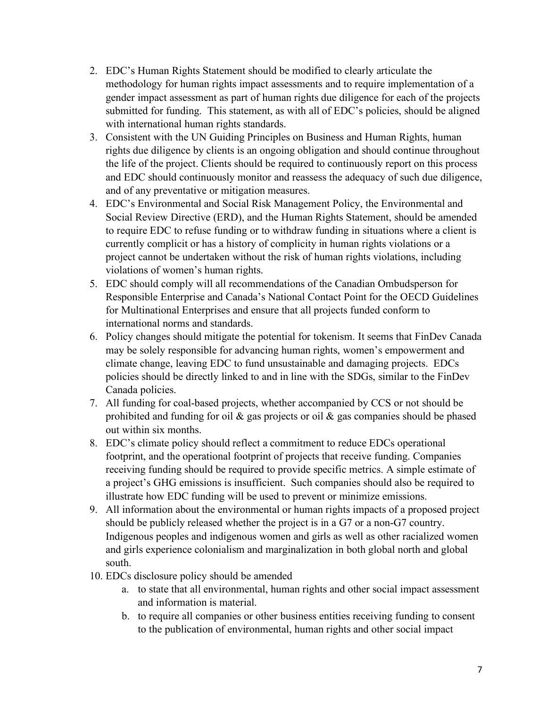- 2. EDC's Human Rights Statement should be modified to clearly articulate the methodology for human rights impact assessments and to require implementation of a gender impact assessment as part of human rights due diligence for each of the projects submitted for funding. This statement, as with all of EDC's policies, should be aligned with international human rights standards.
- 3. Consistent with the UN Guiding Principles on Business and Human Rights, human rights due diligence by clients is an ongoing obligation and should continue throughout the life of the project. Clients should be required to continuously report on this process and EDC should continuously monitor and reassess the adequacy of such due diligence, and of any preventative or mitigation measures.
- 4. EDC's Environmental and Social Risk Management Policy, the Environmental and Social Review Directive (ERD), and the Human Rights Statement, should be amended to require EDC to refuse funding or to withdraw funding in situations where a client is currently complicit or has a history of complicity in human rights violations or a project cannot be undertaken without the risk of human rights violations, including violations of women's human rights.
- 5. EDC should comply will all recommendations of the Canadian Ombudsperson for Responsible Enterprise and Canada's National Contact Point for the OECD Guidelines for Multinational Enterprises and ensure that all projects funded conform to international norms and standards.
- 6. Policy changes should mitigate the potential for tokenism. It seems that FinDev Canada may be solely responsible for advancing human rights, women's empowerment and climate change, leaving EDC to fund unsustainable and damaging projects. EDCs policies should be directly linked to and in line with the SDGs, similar to the FinDev Canada policies.
- 7. All funding for coal-based projects, whether accompanied by CCS or not should be prohibited and funding for oil  $\&$  gas projects or oil  $\&$  gas companies should be phased out within six months.
- 8. EDC's climate policy should reflect a commitment to reduce EDCs operational footprint, and the operational footprint of projects that receive funding. Companies receiving funding should be required to provide specific metrics. A simple estimate of a project's GHG emissions is insufficient. Such companies should also be required to illustrate how EDC funding will be used to prevent or minimize emissions.
- 9. All information about the environmental or human rights impacts of a proposed project should be publicly released whether the project is in a G7 or a non-G7 country. Indigenous peoples and indigenous women and girls as well as other racialized women and girls experience colonialism and marginalization in both global north and global south.
- 10. EDCs disclosure policy should be amended
	- a. to state that all environmental, human rights and other social impact assessment and information is material.
	- b. to require all companies or other business entities receiving funding to consent to the publication of environmental, human rights and other social impact